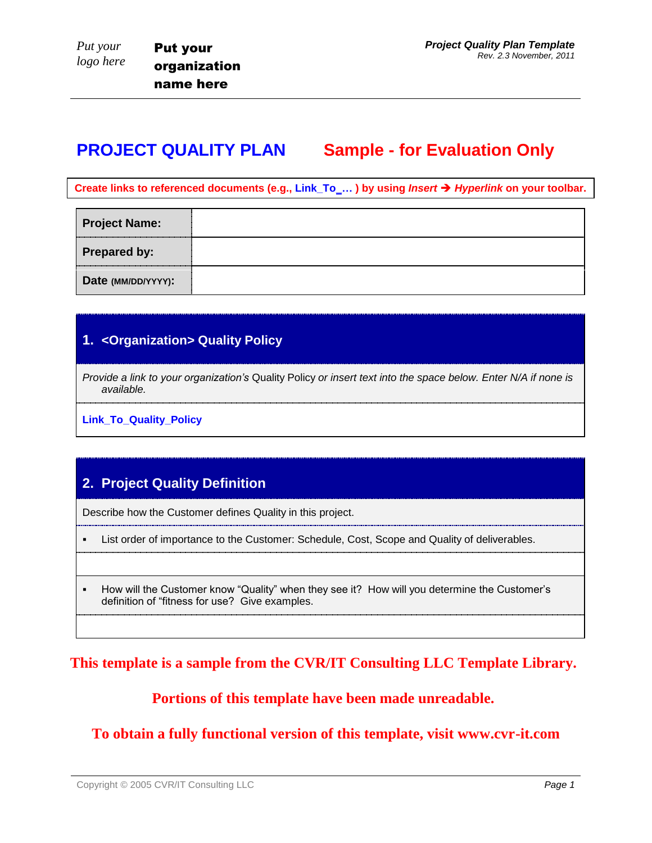# **PROJECT QUALITY PLAN Sample - for Evaluation Only**

**Create links to referenced documents (e.g., Link\_To\_… ) by using** *Insert Hyperlink* **on your toolbar.** 

| <b>Project Name:</b> |  |
|----------------------|--|
| <b>Prepared by:</b>  |  |
| Date (MM/DD/YYYY):   |  |

#### **1. <Organization> Quality Policy**

*Provide a link to your organization's* Quality Policy *or insert text into the space below. Enter N/A if none is available.*

**Link\_To\_Quality\_Policy**

## **2. Project Quality Definition**

Describe how the Customer defines Quality in this project.

- List order of importance to the Customer: Schedule, Cost, Scope and Quality of deliverables.
- How will the Customer know "Quality" when they see it? How will you determine the Customer's definition of "fitness for use? Give examples.

**This template is a sample from the CVR/IT Consulting LLC Template Library.**

**Portions of this template have been made unreadable.**

**To obtain a fully functional version of this template, visit www.cvr-it.com**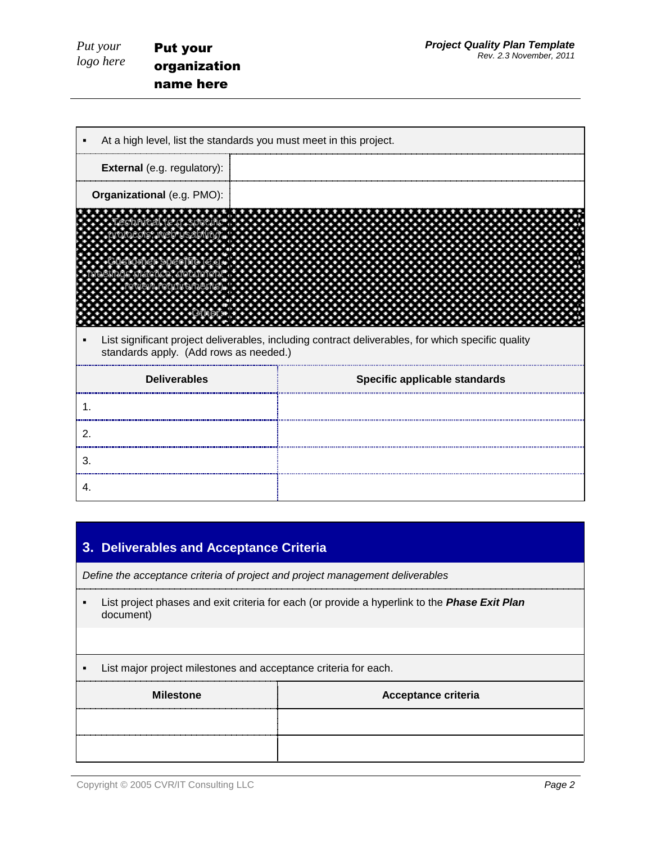| Put your      | <b>Put your</b>                                                    | <b>Project Quality Plan Template</b><br>Rev. 2.3 November, 2011                                    |  |  |
|---------------|--------------------------------------------------------------------|----------------------------------------------------------------------------------------------------|--|--|
| logo here     | organization                                                       |                                                                                                    |  |  |
|               | name here                                                          |                                                                                                    |  |  |
|               |                                                                    |                                                                                                    |  |  |
|               | At a high level, list the standards you must meet in this project. |                                                                                                    |  |  |
|               | External (e.g. regulatory):                                        |                                                                                                    |  |  |
|               | Organizational (e.g. PMO):                                         |                                                                                                    |  |  |
|               |                                                                    |                                                                                                    |  |  |
|               |                                                                    |                                                                                                    |  |  |
|               |                                                                    |                                                                                                    |  |  |
|               |                                                                    |                                                                                                    |  |  |
|               |                                                                    |                                                                                                    |  |  |
|               | standards apply. (Add rows as needed.)                             | List significant project deliverables, including contract deliverables, for which specific quality |  |  |
|               | <b>Deliverables</b>                                                | Specific applicable standards                                                                      |  |  |
| $\mathbf 1$ . |                                                                    |                                                                                                    |  |  |
| 2.            |                                                                    |                                                                                                    |  |  |
| 3.            |                                                                    |                                                                                                    |  |  |
| 4.            |                                                                    |                                                                                                    |  |  |

# **3. Deliverables and Acceptance Criteria**

*Define the acceptance criteria of project and project management deliverables*

- List project phases and exit criteria for each (or provide a hyperlink to the *Phase Exit Plan* document)
- **List major project milestones and acceptance criteria for each.**

| <b>Milestone</b> | <b>Acceptance criteria</b> |
|------------------|----------------------------|
|                  |                            |
|                  |                            |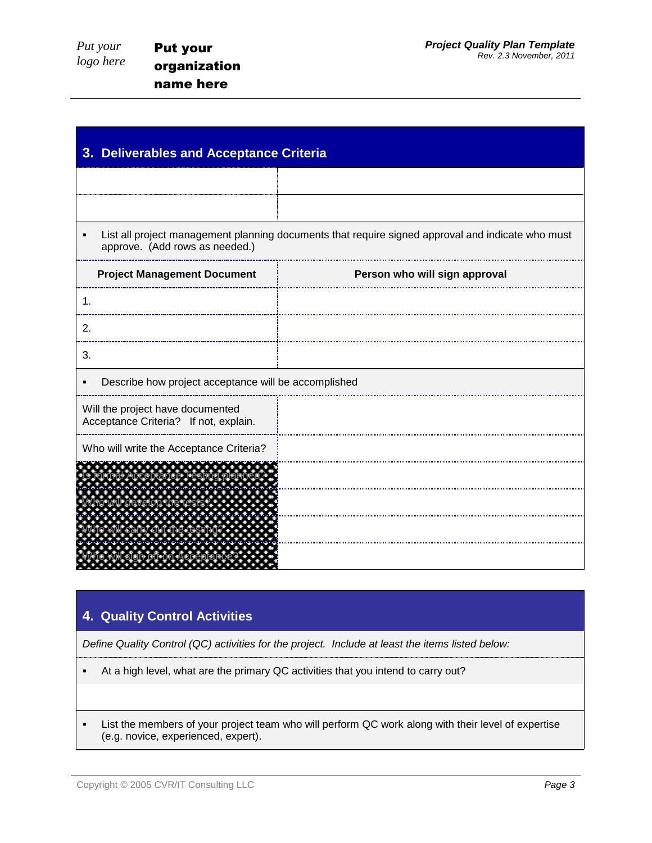| 3. Deliverables and Acceptance Criteria                                   |                                                                                                   |  |
|---------------------------------------------------------------------------|---------------------------------------------------------------------------------------------------|--|
|                                                                           |                                                                                                   |  |
|                                                                           |                                                                                                   |  |
| ٠<br>approve. (Add rows as needed.)                                       | List all project management planning documents that require signed approval and indicate who must |  |
| <b>Project Management Document</b>                                        | Person who will sign approval                                                                     |  |
| $\mathbf 1$                                                               |                                                                                                   |  |
| 2.                                                                        |                                                                                                   |  |
| 3.                                                                        |                                                                                                   |  |
| Describe how project acceptance will be accomplished                      |                                                                                                   |  |
| Will the project have documented<br>Acceptance Criteria? If not, explain. |                                                                                                   |  |
| Who will write the Acceptance Criteria?                                   |                                                                                                   |  |
|                                                                           |                                                                                                   |  |
|                                                                           |                                                                                                   |  |
|                                                                           |                                                                                                   |  |
|                                                                           |                                                                                                   |  |

### **4. Quality Control Activities**

*Define Quality Control (QC) activities for the project. Include at least the items listed below:*

- At a high level, what are the primary QC activities that you intend to carry out?
- List the members of your project team who will perform QC work along with their level of expertise (e.g. novice, experienced, expert).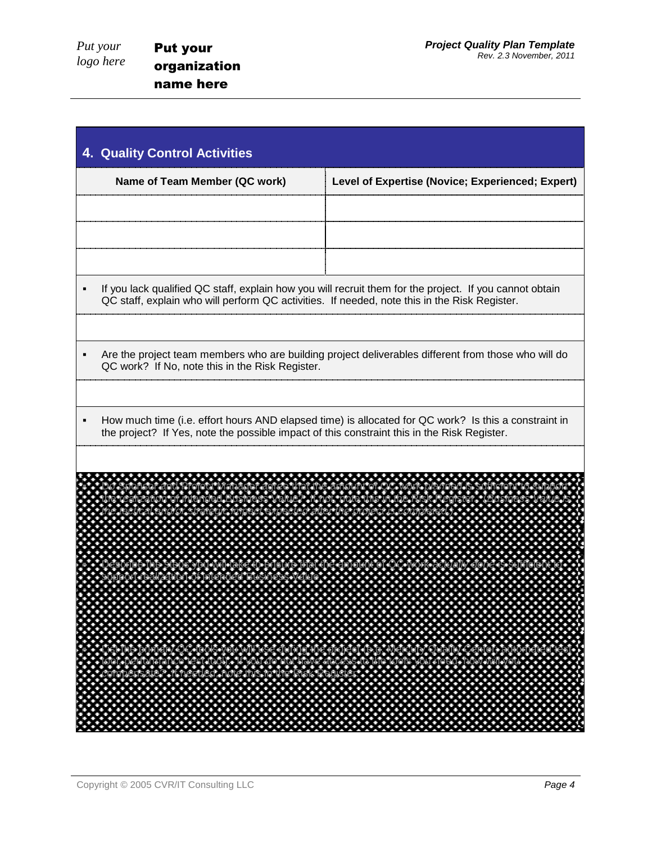| <b>4. Quality Control Activities</b>                                                                                                                                                                                      |                                                                                                                                                                                                                    |  |  |  |
|---------------------------------------------------------------------------------------------------------------------------------------------------------------------------------------------------------------------------|--------------------------------------------------------------------------------------------------------------------------------------------------------------------------------------------------------------------|--|--|--|
| Name of Team Member (QC work)                                                                                                                                                                                             | Level of Expertise (Novice; Experienced; Expert)                                                                                                                                                                   |  |  |  |
|                                                                                                                                                                                                                           |                                                                                                                                                                                                                    |  |  |  |
|                                                                                                                                                                                                                           |                                                                                                                                                                                                                    |  |  |  |
|                                                                                                                                                                                                                           |                                                                                                                                                                                                                    |  |  |  |
| QC staff, explain who will perform QC activities. If needed, note this in the Risk Register.                                                                                                                              | If you lack qualified QC staff, explain how you will recruit them for the project. If you cannot obtain                                                                                                            |  |  |  |
|                                                                                                                                                                                                                           |                                                                                                                                                                                                                    |  |  |  |
| QC work? If No, note this in the Risk Register.                                                                                                                                                                           | Are the project team members who are building project deliverables different from those who will do                                                                                                                |  |  |  |
|                                                                                                                                                                                                                           |                                                                                                                                                                                                                    |  |  |  |
| the project? If Yes, note the possible impact of this constraint this in the Risk Register.                                                                                                                               | How much time (i.e. effort hours AND elapsed time) is allocated for QC work? Is this a constraint in                                                                                                               |  |  |  |
|                                                                                                                                                                                                                           |                                                                                                                                                                                                                    |  |  |  |
|                                                                                                                                                                                                                           |                                                                                                                                                                                                                    |  |  |  |
|                                                                                                                                                                                                                           |                                                                                                                                                                                                                    |  |  |  |
|                                                                                                                                                                                                                           |                                                                                                                                                                                                                    |  |  |  |
|                                                                                                                                                                                                                           |                                                                                                                                                                                                                    |  |  |  |
|                                                                                                                                                                                                                           |                                                                                                                                                                                                                    |  |  |  |
| $\mathcal{O}(\mathcal{A})$<br>P.<br>$\sim$<br><b>CO</b><br><b>COLOR</b><br>$\mathcal{L}_{\mathcal{A}}$<br>$- - -$<br>イイイイイ                                                                                                | 2000000<br>$\sim$ 100 $\pm$<br><b>CESS</b><br>э.<br>$\rightarrow$ $\rightarrow$ $\rightarrow$                                                                                                                      |  |  |  |
| 233555299<br>ונוער שונו<br>חיים<br>a a<br>.<br><b>COL</b><br>n an<br>a an<br>e.<br><b>CL 22</b>                                                                                                                           | - -<br>$\begin{array}{ccccccccccccc} \bullet & \bullet & \bullet & \bullet & \bullet & \bullet & \bullet \end{array}$<br>a.<br>S<br>m<br>Mercury Qu<br>Association<br>a a ai<br>a ta an<br><b>CONTRACTOR</b><br>г. |  |  |  |
| I). It vou<br>Andrus<br>De <sub>torne</sub><br><sup>Gr</sup> ieede<br><b>z grme</b><br>.                                                                                                                                  | Cess to the too<br>:<br>ols you need.<br>.<br>a an<br><b>COL</b><br>P.<br>a.<br><b>.</b><br>in alala lala.<br>Alala alala lala                                                                                     |  |  |  |
| C.<br>$\boldsymbol{\phi}$<br>f.<br>a.<br>$\sim$<br><b>COL</b><br>$\sim$<br>P.<br>a.<br>P.<br>P.<br>P.<br>a.<br>S<br>P.<br>P.<br>P.<br>$\sim$<br>œ<br>a.<br>P.<br>e.                                                       | $\blacklozenge$<br><b>COL</b><br>$\sim$<br>P.<br>f.<br>f.<br><b>COL</b><br>œ<br>a.<br>a.<br>E.                                                                                                                     |  |  |  |
| �<br>�<br>Œ<br>$\mathcal{L}_{\mathcal{A}}$<br>÷,<br>ш,<br>$\blacklozenge$<br>$\mathcal{L}_{\mathcal{A}}$<br>$\blacklozenge$<br>�<br>�<br>$\boldsymbol{\varphi}$<br>$\blacklozenge$<br>�<br>₩,<br>74<br><b>1979</b><br>Tan | - 2<br>æ<br>55<br>�<br>�<br>г<br>œ<br>$\mathcal{A}$ .<br>a.<br>T.<br>30<br>a.<br>n.                                                                                                                                |  |  |  |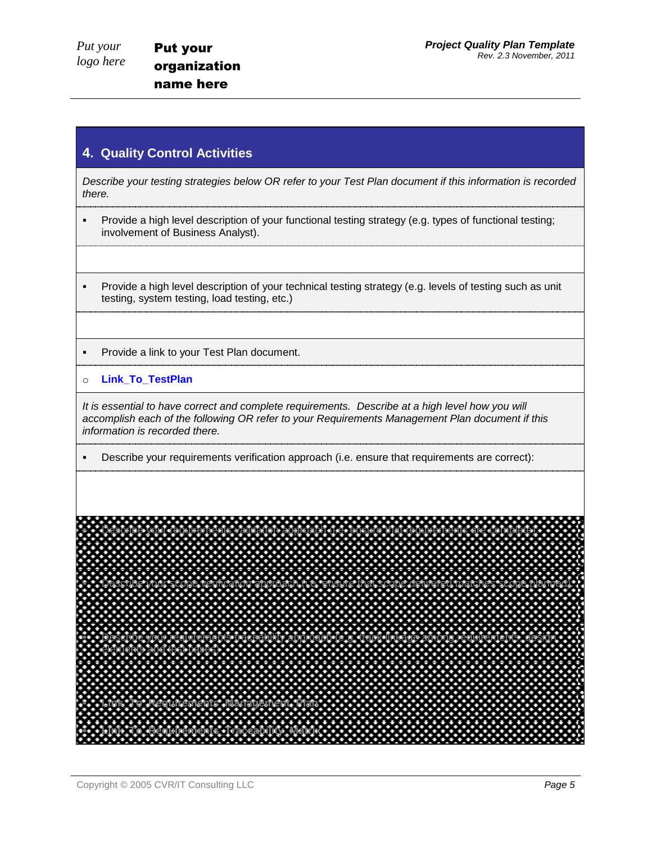#### **4. Quality Control Activities**

*Describe your testing strategies below OR refer to your Test Plan document if this information is recorded there.*

- Provide a high level description of your functional testing strategy (e.g. types of functional testing; involvement of Business Analyst).
- Provide a high level description of your technical testing strategy (e.g. levels of testing such as unit testing, system testing, load testing, etc.)
- **Provide a link to your Test Plan document.**
- o **Link\_To\_TestPlan**

*It is essential to have correct and complete requirements. Describe at a high level how you will accomplish each of the following OR refer to your Requirements Management Plan document if this information is recorded there.*

Describe your requirements verification approach (i.e. ensure that requirements are correct):

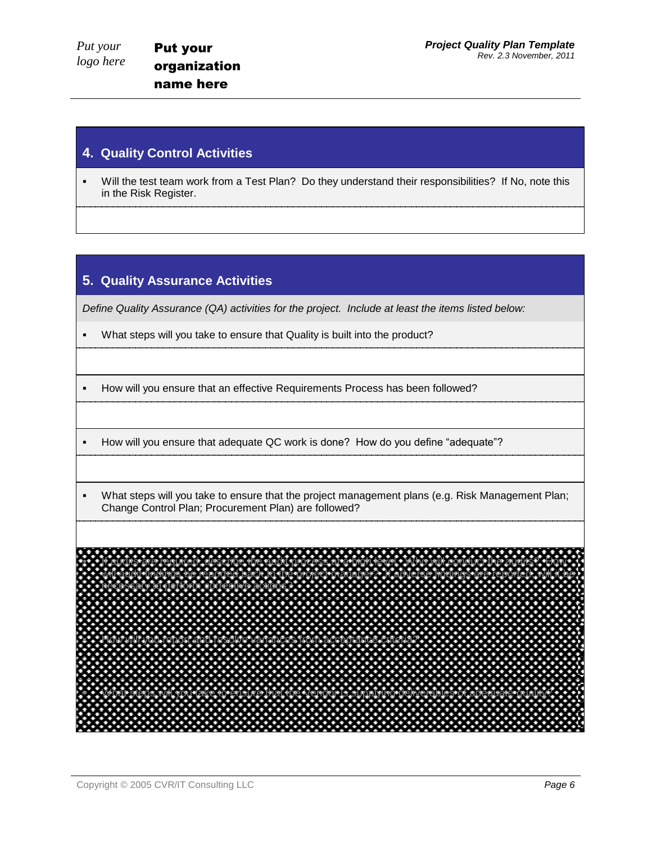#### **4. Quality Control Activities**

 Will the test team work from a Test Plan? Do they understand their responsibilities? If No, note this in the Risk Register.

### **5. Quality Assurance Activities**

*Define Quality Assurance (QA) activities for the project. Include at least the items listed below:* 

- What steps will you take to ensure that Quality is built into the product?
- How will you ensure that an effective Requirements Process has been followed?
- How will you ensure that adequate QC work is done? How do you define "adequate"?
- What steps will you take to ensure that the project management plans (e.g. Risk Management Plan; Change Control Plan; Procurement Plan) are followed?

 If audits are required, describe the audit process at a high level. Who will conduct the audits? How will audit findings be reported back to the project manager? If adverse findings are reported, will it be necessary to perform corrective actions? How will you report and resolve variances from acceptances from acceptances from acceptances from acceptance c<br>How will go and report and report and report and report and report and report and report and report and report<br> What steps will you take the Venedor<br>Cooperables of adequate  $\mathcal{P}$ <br>denor indicate vendor is supplying deli